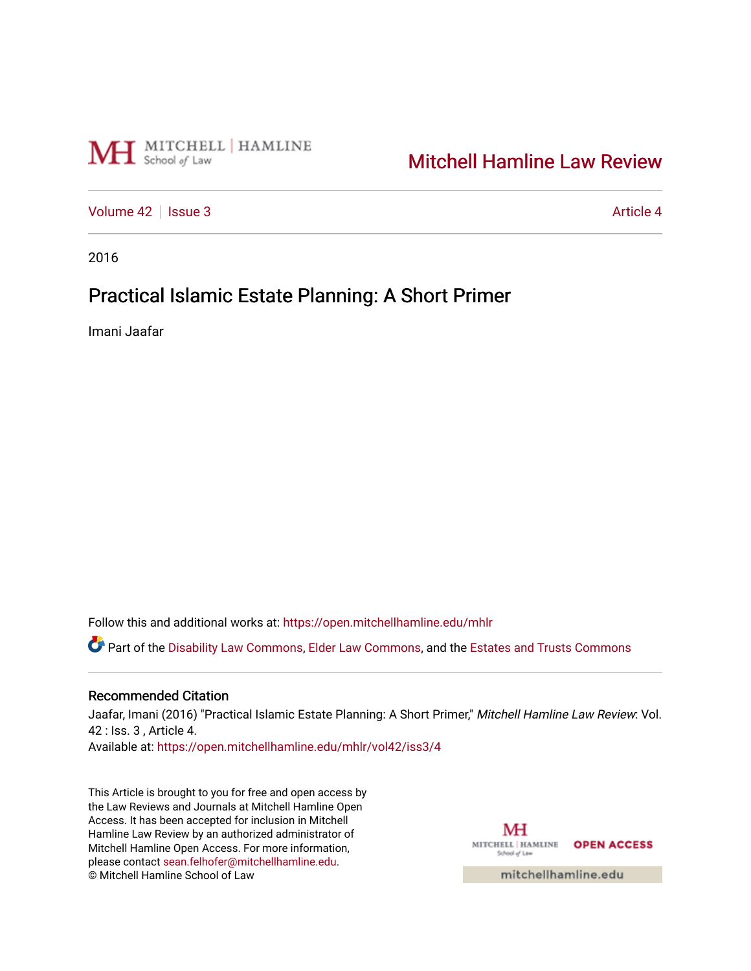

# [Mitchell Hamline Law Review](https://open.mitchellhamline.edu/mhlr)

[Volume 42](https://open.mitchellhamline.edu/mhlr/vol42) | [Issue 3](https://open.mitchellhamline.edu/mhlr/vol42/iss3) Article 4

2016

## Practical Islamic Estate Planning: A Short Primer

Imani Jaafar

Follow this and additional works at: [https://open.mitchellhamline.edu/mhlr](https://open.mitchellhamline.edu/mhlr?utm_source=open.mitchellhamline.edu%2Fmhlr%2Fvol42%2Fiss3%2F4&utm_medium=PDF&utm_campaign=PDFCoverPages) 

Part of the [Disability Law Commons](http://network.bepress.com/hgg/discipline/1074?utm_source=open.mitchellhamline.edu%2Fmhlr%2Fvol42%2Fiss3%2F4&utm_medium=PDF&utm_campaign=PDFCoverPages), [Elder Law Commons](http://network.bepress.com/hgg/discipline/842?utm_source=open.mitchellhamline.edu%2Fmhlr%2Fvol42%2Fiss3%2F4&utm_medium=PDF&utm_campaign=PDFCoverPages), and the [Estates and Trusts Commons](http://network.bepress.com/hgg/discipline/906?utm_source=open.mitchellhamline.edu%2Fmhlr%2Fvol42%2Fiss3%2F4&utm_medium=PDF&utm_campaign=PDFCoverPages) 

### Recommended Citation

Jaafar, Imani (2016) "Practical Islamic Estate Planning: A Short Primer," Mitchell Hamline Law Review: Vol. 42 : Iss. 3 , Article 4.

Available at: [https://open.mitchellhamline.edu/mhlr/vol42/iss3/4](https://open.mitchellhamline.edu/mhlr/vol42/iss3/4?utm_source=open.mitchellhamline.edu%2Fmhlr%2Fvol42%2Fiss3%2F4&utm_medium=PDF&utm_campaign=PDFCoverPages) 

This Article is brought to you for free and open access by the Law Reviews and Journals at Mitchell Hamline Open Access. It has been accepted for inclusion in Mitchell Hamline Law Review by an authorized administrator of Mitchell Hamline Open Access. For more information, please contact [sean.felhofer@mitchellhamline.edu.](mailto:sean.felhofer@mitchellhamline.edu) © Mitchell Hamline School of Law

MH MITCHELL | HAMLINE OPEN ACCESS School of Law

mitchellhamline.edu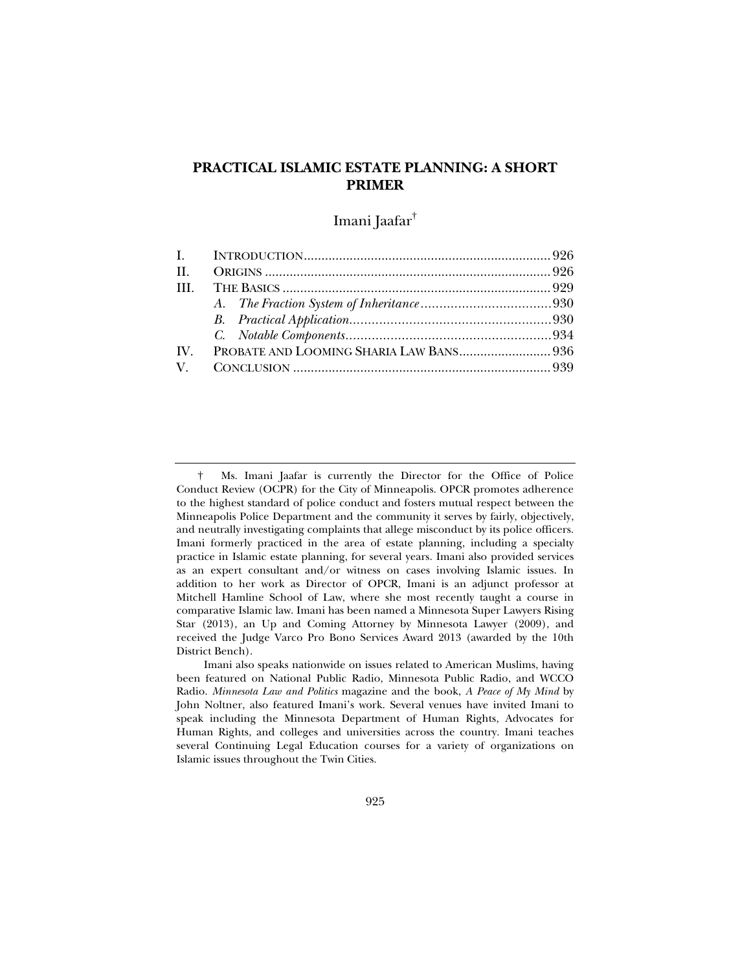## **PRACTICAL ISLAMIC ESTATE PLANNING: A SHORT PRIMER**

## Imani Jaafar†

| PROBATE AND LOOMING SHARIA LAW BANS 936 |
|-----------------------------------------|
|                                         |
|                                         |

 <sup>†</sup> Ms. Imani Jaafar is currently the Director for the Office of Police Conduct Review (OCPR) for the City of Minneapolis. OPCR promotes adherence to the highest standard of police conduct and fosters mutual respect between the Minneapolis Police Department and the community it serves by fairly, objectively, and neutrally investigating complaints that allege misconduct by its police officers. Imani formerly practiced in the area of estate planning, including a specialty practice in Islamic estate planning, for several years. Imani also provided services as an expert consultant and/or witness on cases involving Islamic issues. In addition to her work as Director of OPCR, Imani is an adjunct professor at Mitchell Hamline School of Law, where she most recently taught a course in comparative Islamic law. Imani has been named a Minnesota Super Lawyers Rising Star (2013), an Up and Coming Attorney by Minnesota Lawyer (2009), and received the Judge Varco Pro Bono Services Award 2013 (awarded by the 10th District Bench).

Imani also speaks nationwide on issues related to American Muslims, having been featured on National Public Radio, Minnesota Public Radio, and WCCO Radio. *Minnesota Law and Politics* magazine and the book, *A Peace of My Mind* by John Noltner, also featured Imani's work. Several venues have invited Imani to speak including the Minnesota Department of Human Rights, Advocates for Human Rights, and colleges and universities across the country. Imani teaches several Continuing Legal Education courses for a variety of organizations on Islamic issues throughout the Twin Cities.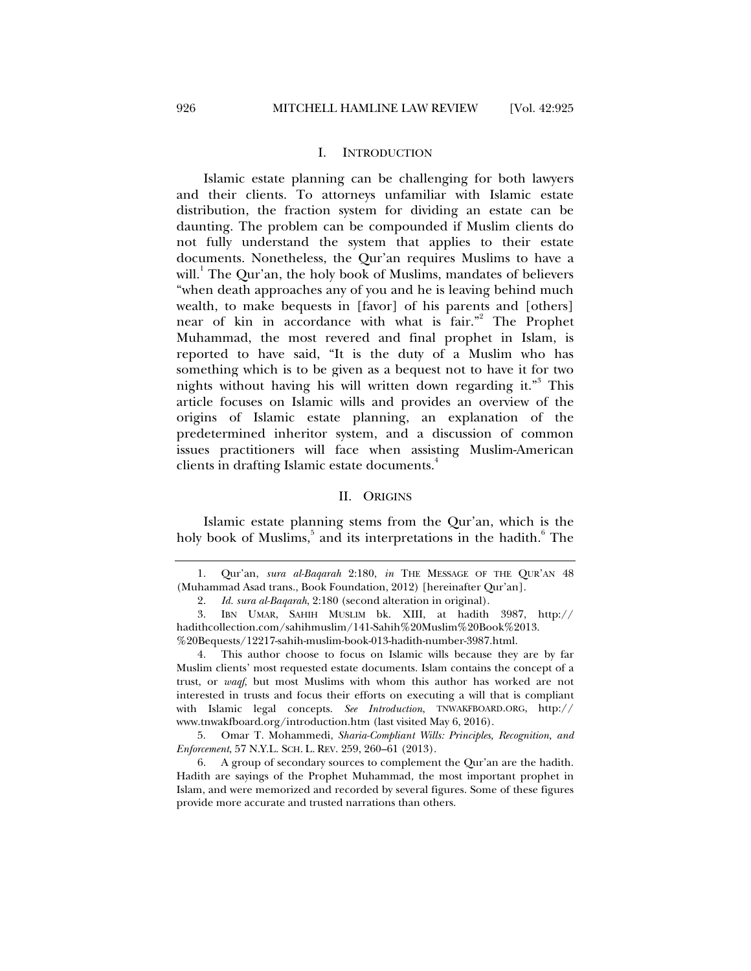#### I. INTRODUCTION

Islamic estate planning can be challenging for both lawyers and their clients. To attorneys unfamiliar with Islamic estate distribution, the fraction system for dividing an estate can be daunting. The problem can be compounded if Muslim clients do not fully understand the system that applies to their estate documents. Nonetheless, the Qur'an requires Muslims to have a will.<sup>1</sup> The Qur'an, the holy book of Muslims, mandates of believers "when death approaches any of you and he is leaving behind much wealth, to make bequests in [favor] of his parents and [others] near of kin in accordance with what is fair."<sup>2</sup> The Prophet Muhammad, the most revered and final prophet in Islam, is reported to have said, "It is the duty of a Muslim who has something which is to be given as a bequest not to have it for two nights without having his will written down regarding it."<sup>3</sup> This article focuses on Islamic wills and provides an overview of the origins of Islamic estate planning, an explanation of the predetermined inheritor system, and a discussion of common issues practitioners will face when assisting Muslim-American clients in drafting Islamic estate documents.<sup>4</sup>

#### II. ORIGINS

Islamic estate planning stems from the Qur'an, which is the holy book of Muslims,<sup>5</sup> and its interpretations in the hadith.<sup>6</sup> The

 <sup>1.</sup> Qur'an, *sura al-Baqarah* 2:180, *in* THE MESSAGE OF THE QUR'AN 48 (Muhammad Asad trans., Book Foundation, 2012) [hereinafter Qur'an].

 <sup>2.</sup> *Id. sura al-Baqarah*, 2:180 (second alteration in original).

 <sup>3.</sup> IBN UMAR, SAHIH MUSLIM bk. XIII, at hadith 3987, http:// hadithcollection.com/sahihmuslim/141-Sahih%20Muslim%20Book%2013. %20Bequests/12217-sahih-muslim-book-013-hadith-number-3987.html.

 <sup>4.</sup> This author choose to focus on Islamic wills because they are by far Muslim clients' most requested estate documents. Islam contains the concept of a trust, or *waqf*, but most Muslims with whom this author has worked are not interested in trusts and focus their efforts on executing a will that is compliant with Islamic legal concepts. *See Introduction*, TNWAKFBOARD.ORG, http:// www.tnwakfboard.org/introduction.htm (last visited May 6, 2016).

 <sup>5.</sup> Omar T. Mohammedi, *Sharia-Compliant Wills: Principles, Recognition, and Enforcement*, 57 N.Y.L. SCH. L. REV. 259, 260–61 (2013).

 <sup>6.</sup> A group of secondary sources to complement the Qur'an are the hadith. Hadith are sayings of the Prophet Muhammad, the most important prophet in Islam, and were memorized and recorded by several figures. Some of these figures provide more accurate and trusted narrations than others.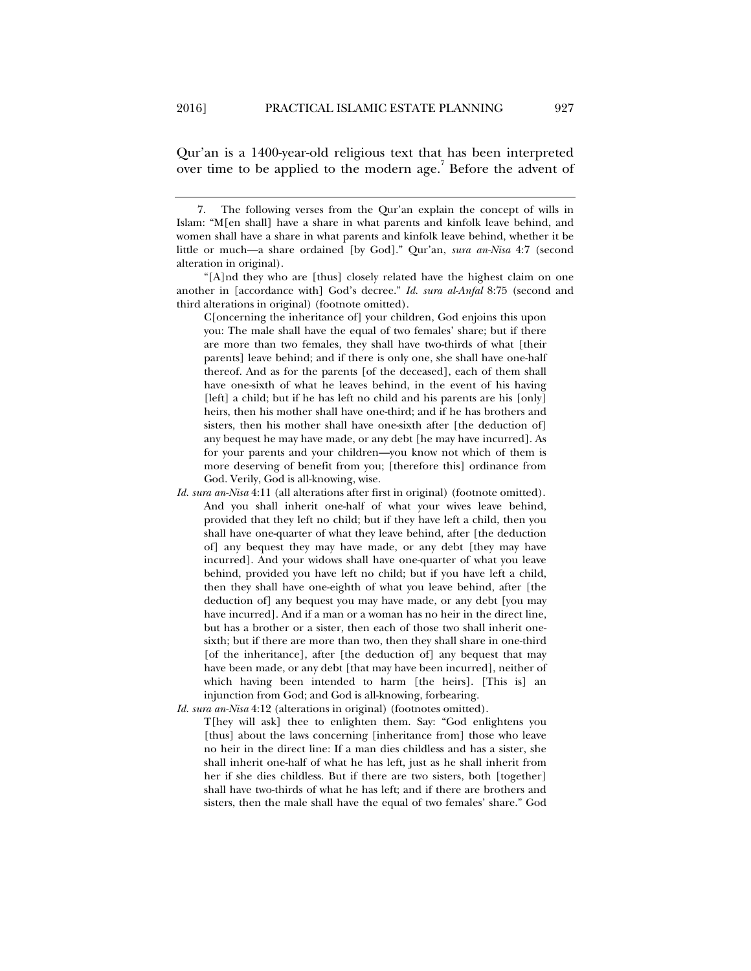Qur'an is a 1400-year-old religious text that has been interpreted over time to be applied to the modern age.<sup>7</sup> Before the advent of

"[A]nd they who are [thus] closely related have the highest claim on one another in [accordance with] God's decree." *Id. sura al-Anfal* 8:75 (second and third alterations in original) (footnote omitted).

C[oncerning the inheritance of] your children, God enjoins this upon you: The male shall have the equal of two females' share; but if there are more than two females, they shall have two-thirds of what [their parents] leave behind; and if there is only one, she shall have one-half thereof. And as for the parents [of the deceased], each of them shall have one-sixth of what he leaves behind, in the event of his having [left] a child; but if he has left no child and his parents are his [only] heirs, then his mother shall have one-third; and if he has brothers and sisters, then his mother shall have one-sixth after [the deduction of] any bequest he may have made, or any debt [he may have incurred]. As for your parents and your children—you know not which of them is more deserving of benefit from you; [therefore this] ordinance from God. Verily, God is all-knowing, wise.

- *Id. sura an-Nisa* 4:11 (all alterations after first in original) (footnote omitted). And you shall inherit one-half of what your wives leave behind, provided that they left no child; but if they have left a child, then you shall have one-quarter of what they leave behind, after [the deduction of] any bequest they may have made, or any debt [they may have incurred]. And your widows shall have one-quarter of what you leave behind, provided you have left no child; but if you have left a child, then they shall have one-eighth of what you leave behind, after [the deduction of] any bequest you may have made, or any debt [you may have incurred]. And if a man or a woman has no heir in the direct line, but has a brother or a sister, then each of those two shall inherit onesixth; but if there are more than two, then they shall share in one-third [of the inheritance], after [the deduction of] any bequest that may have been made, or any debt [that may have been incurred], neither of which having been intended to harm [the heirs]. [This is] an injunction from God; and God is all-knowing, forbearing.
- *Id. sura an-Nisa* 4:12 (alterations in original) (footnotes omitted).

T[hey will ask] thee to enlighten them. Say: "God enlightens you [thus] about the laws concerning [inheritance from] those who leave no heir in the direct line: If a man dies childless and has a sister, she shall inherit one-half of what he has left, just as he shall inherit from her if she dies childless. But if there are two sisters, both [together] shall have two-thirds of what he has left; and if there are brothers and sisters, then the male shall have the equal of two females' share." God

 <sup>7.</sup> The following verses from the Qur'an explain the concept of wills in Islam: "M[en shall] have a share in what parents and kinfolk leave behind, and women shall have a share in what parents and kinfolk leave behind, whether it be little or much—a share ordained [by God]." Qur'an, *sura an-Nisa* 4:7 (second alteration in original).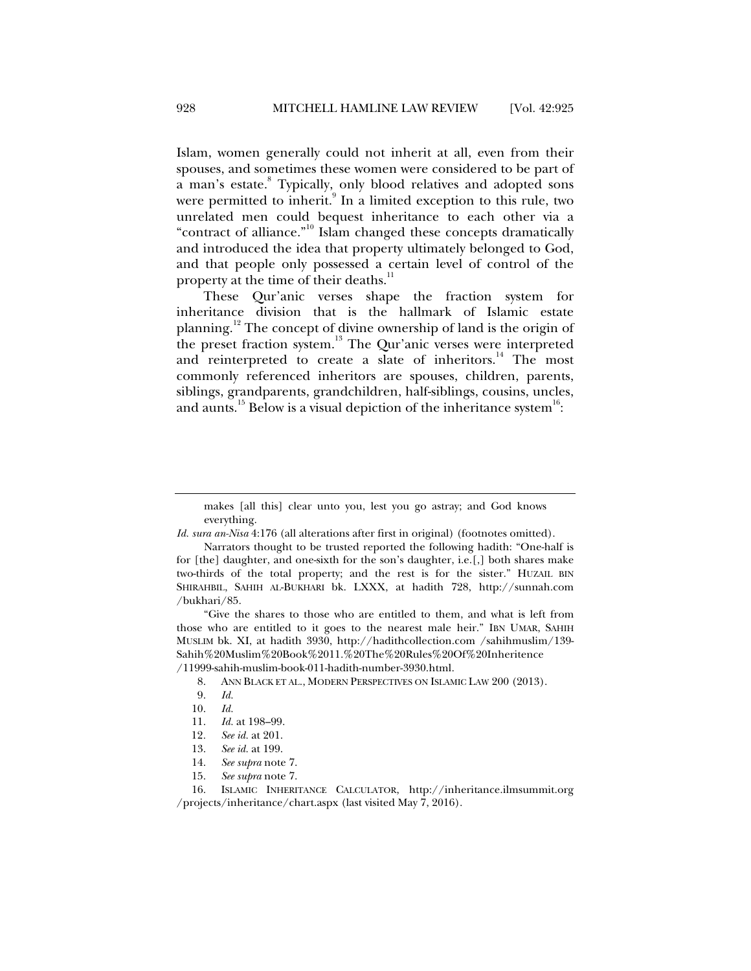Islam, women generally could not inherit at all, even from their spouses, and sometimes these women were considered to be part of a man's estate.<sup>8</sup> Typically, only blood relatives and adopted sons were permitted to inherit.<sup>9</sup> In a limited exception to this rule, two unrelated men could bequest inheritance to each other via a "contract of alliance."<sup>10</sup> Islam changed these concepts dramatically and introduced the idea that property ultimately belonged to God, and that people only possessed a certain level of control of the property at the time of their deaths.<sup>11</sup>

These Qur'anic verses shape the fraction system for inheritance division that is the hallmark of Islamic estate planning.<sup>12</sup> The concept of divine ownership of land is the origin of the preset fraction system.13 The Qur'anic verses were interpreted and reinterpreted to create a slate of inheritors.<sup>14</sup> The most commonly referenced inheritors are spouses, children, parents, siblings, grandparents, grandchildren, half-siblings, cousins, uncles, and aunts.<sup>15</sup> Below is a visual depiction of the inheritance system<sup>16</sup>:

8. ANN BLACK ET AL., MODERN PERSPECTIVES ON ISLAMIC LAW 200 (2013).

makes [all this] clear unto you, lest you go astray; and God knows everything.

*Id. sura an-Nisa* 4:176 (all alterations after first in original) (footnotes omitted).

Narrators thought to be trusted reported the following hadith: "One-half is for [the] daughter, and one-sixth for the son's daughter, i.e.[,] both shares make two-thirds of the total property; and the rest is for the sister." HUZAIL BIN SHIRAHBIL, SAHIH AL-BUKHARI bk. LXXX, at hadith 728, http://sunnah.com /bukhari/85.

<sup>&</sup>quot;Give the shares to those who are entitled to them, and what is left from those who are entitled to it goes to the nearest male heir." IBN UMAR, SAHIH MUSLIM bk. XI, at hadith 3930, http://hadithcollection.com /sahihmuslim/139- Sahih%20Muslim%20Book%2011.%20The%20Rules%20Of%20Inheritence /11999-sahih-muslim-book-011-hadith-number-3930.html.

 <sup>9.</sup> *Id.*

 <sup>10.</sup> *Id.*

 <sup>11.</sup> *Id.* at 198–99.

<sup>12</sup>*. See id.* at 201.

 <sup>13.</sup> *See id.* at 199.

 <sup>14.</sup> *See supra* note 7.

 <sup>15.</sup> *See supra* note 7.

 <sup>16.</sup> ISLAMIC INHERITANCE CALCULATOR, http://inheritance.ilmsummit.org /projects/inheritance/chart.aspx (last visited May 7, 2016).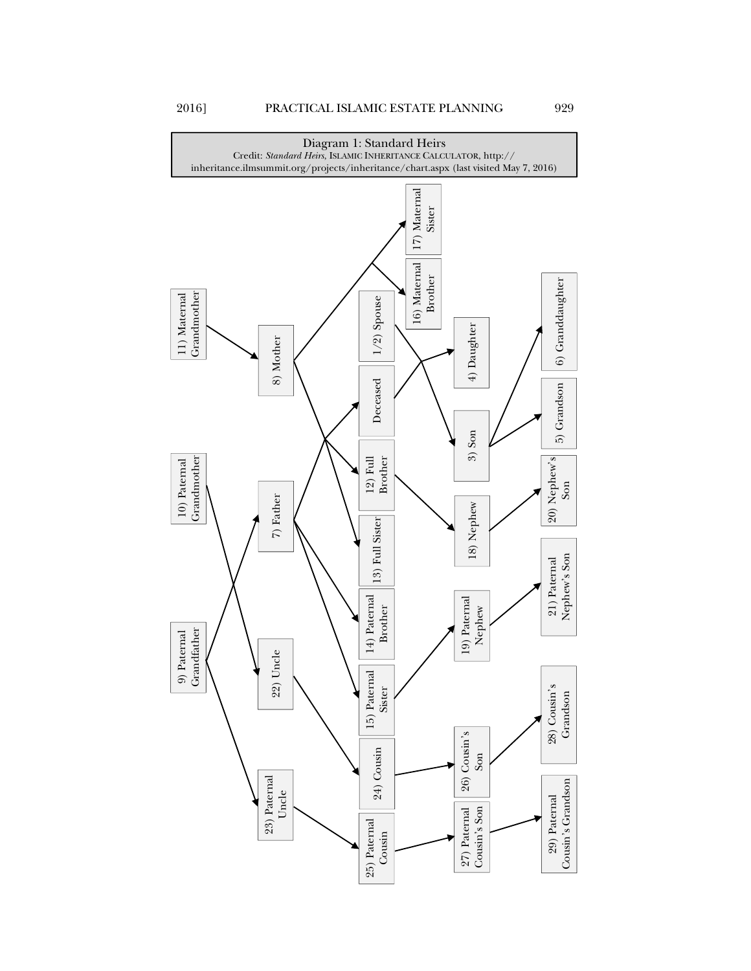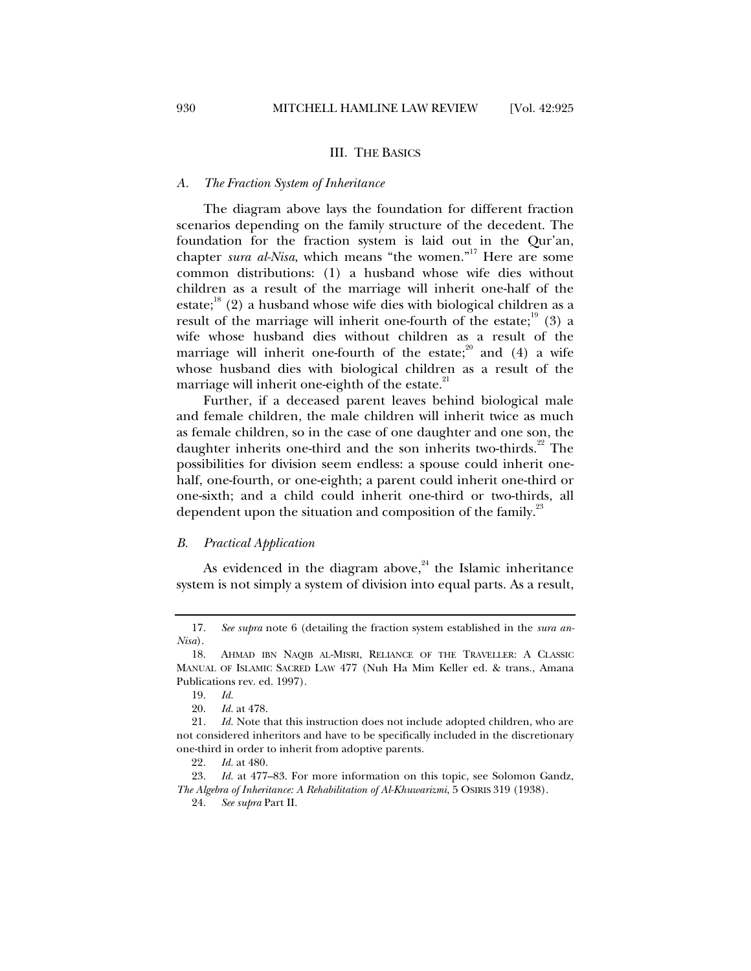#### III. THE BASICS

#### *A. The Fraction System of Inheritance*

The diagram above lays the foundation for different fraction scenarios depending on the family structure of the decedent. The foundation for the fraction system is laid out in the Qur'an, chapter *sura al-Nisa*, which means "the women."<sup>17</sup> Here are some common distributions: (1) a husband whose wife dies without children as a result of the marriage will inherit one-half of the estate; $\frac{18}{3}$  (2) a husband whose wife dies with biological children as a result of the marriage will inherit one-fourth of the estate; $19$  (3) a wife whose husband dies without children as a result of the marriage will inherit one-fourth of the estate; $20$  and (4) a wife whose husband dies with biological children as a result of the marriage will inherit one-eighth of the estate.<sup>21</sup>

Further, if a deceased parent leaves behind biological male and female children, the male children will inherit twice as much as female children, so in the case of one daughter and one son, the daughter inherits one-third and the son inherits two-thirds.<sup>22</sup> The possibilities for division seem endless: a spouse could inherit onehalf, one-fourth, or one-eighth; a parent could inherit one-third or one-sixth; and a child could inherit one-third or two-thirds, all dependent upon the situation and composition of the family.<sup>23</sup>

#### *B. Practical Application*

As evidenced in the diagram above, $24$  the Islamic inheritance system is not simply a system of division into equal parts. As a result,

 <sup>17.</sup> *See supra* note 6 (detailing the fraction system established in the *sura an-Nisa*).

 <sup>18.</sup> AHMAD IBN NAQIB AL-MISRI, RELIANCE OF THE TRAVELLER: A CLASSIC MANUAL OF ISLAMIC SACRED LAW 477 (Nuh Ha Mim Keller ed. & trans., Amana Publications rev. ed. 1997).

 <sup>19.</sup> *Id.*

 <sup>20.</sup> *Id.* at 478.

 <sup>21.</sup> *Id.* Note that this instruction does not include adopted children, who are not considered inheritors and have to be specifically included in the discretionary one-third in order to inherit from adoptive parents.

<sup>22</sup>*. Id.* at 480.

 <sup>23.</sup> *Id.* at 477–83. For more information on this topic, see Solomon Gandz, *The Algebra of Inheritance: A Rehabilitation of Al-Khuwarizmi*, 5 OSIRIS 319 (1938).

 <sup>24.</sup> *See supra* Part II.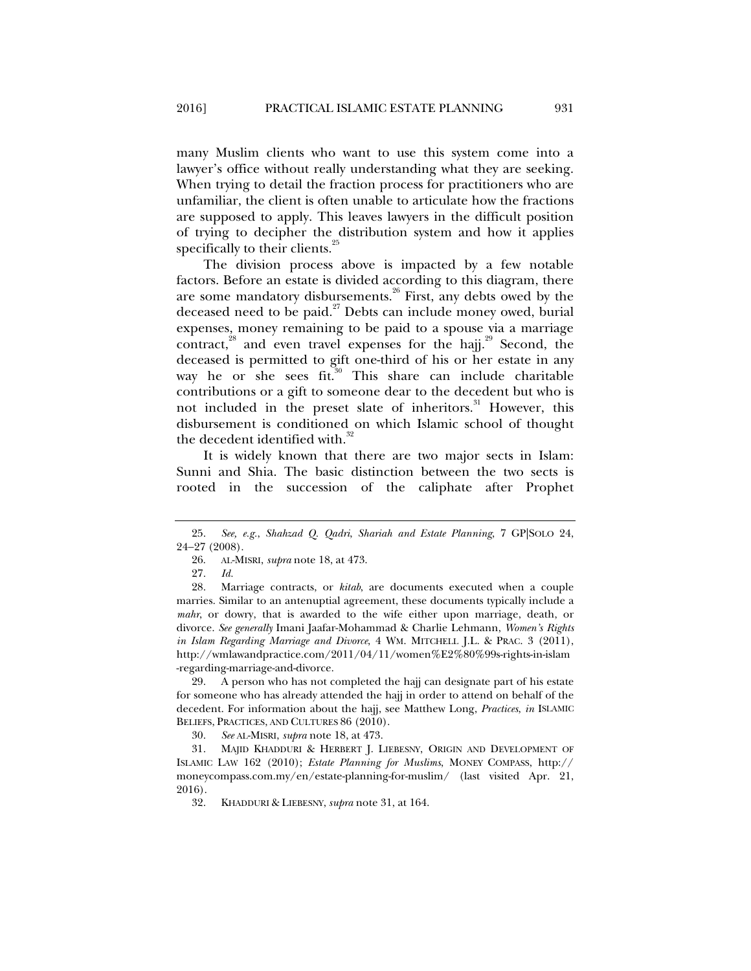many Muslim clients who want to use this system come into a lawyer's office without really understanding what they are seeking. When trying to detail the fraction process for practitioners who are unfamiliar, the client is often unable to articulate how the fractions are supposed to apply. This leaves lawyers in the difficult position of trying to decipher the distribution system and how it applies specifically to their clients. $^{25}$ 

The division process above is impacted by a few notable factors. Before an estate is divided according to this diagram, there are some mandatory disbursements.<sup>26</sup> First, any debts owed by the deceased need to be paid. $27$  Debts can include money owed, burial expenses, money remaining to be paid to a spouse via a marriage contract,<sup>28</sup> and even travel expenses for the hajj.<sup>29</sup> Second, the deceased is permitted to gift one-third of his or her estate in any way he or she sees  $fit.^{30}$ . This share can include charitable contributions or a gift to someone dear to the decedent but who is not included in the preset slate of inheritors.<sup>31</sup> However, this disbursement is conditioned on which Islamic school of thought the decedent identified with.<sup>32</sup>

It is widely known that there are two major sects in Islam: Sunni and Shia. The basic distinction between the two sects is rooted in the succession of the caliphate after Prophet

 29. A person who has not completed the hajj can designate part of his estate for someone who has already attended the hajj in order to attend on behalf of the decedent. For information about the hajj, see Matthew Long, *Practices*, *in* ISLAMIC BELIEFS, PRACTICES, AND CULTURES 86 (2010).

30. *See* AL-MISRI, *supra* note 18, at 473.

 31. MAJID KHADDURI & HERBERT J. LIEBESNY, ORIGIN AND DEVELOPMENT OF ISLAMIC LAW 162 (2010); *Estate Planning for Muslims*, MONEY COMPASS, http:// moneycompass.com.my/en/estate-planning-for-muslim/ (last visited Apr. 21, 2016).

32. KHADDURI & LIEBESNY, *supra* note 31, at 164.

 <sup>25.</sup> *See, e.g.*, *Shahzad Q. Qadri*, *Shariah and Estate Planning*, 7 GP|SOLO 24, 2427 (2008).

 <sup>26.</sup> AL-MISRI, *supra* note 18, at 473.

 <sup>27.</sup> *Id.*

 <sup>28.</sup> Marriage contracts, or *kitab*, are documents executed when a couple marries. Similar to an antenuptial agreement, these documents typically include a *mahr*, or dowry, that is awarded to the wife either upon marriage, death, or divorce. *See generally* Imani Jaafar-Mohammad & Charlie Lehmann, *Women's Rights in Islam Regarding Marriage and Divorce*, 4 WM. MITCHELL J.L. & PRAC. 3 (2011), http://wmlawandpractice.com/2011/04/11/women%E2%80%99s-rights-in-islam -regarding-marriage-and-divorce.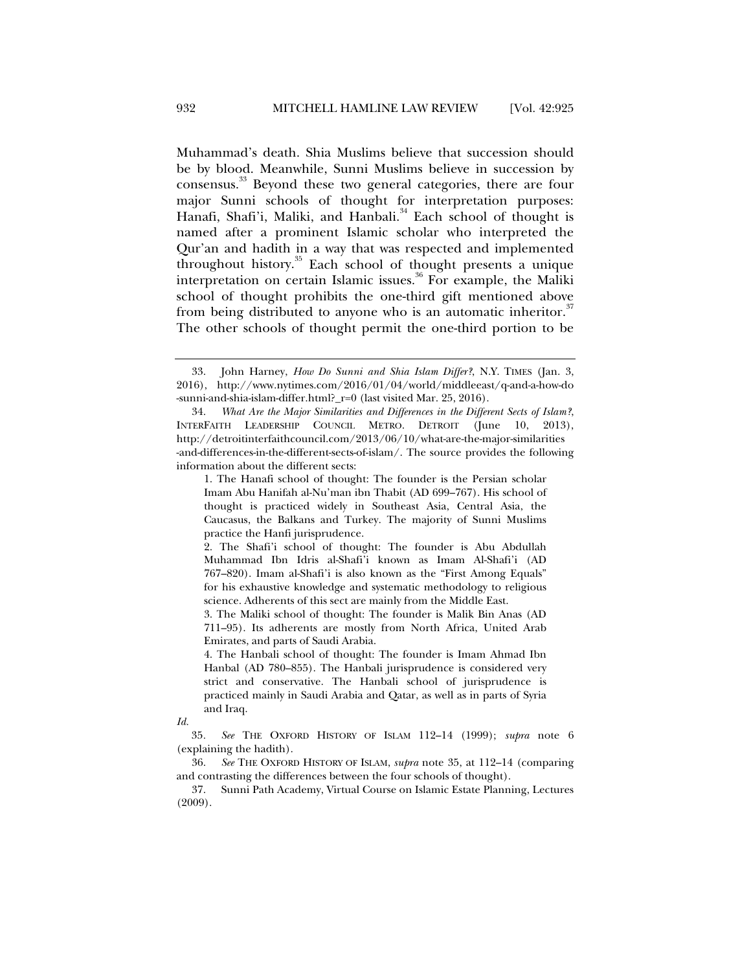Muhammad's death. Shia Muslims believe that succession should be by blood. Meanwhile, Sunni Muslims believe in succession by consensus.<sup>33</sup> Beyond these two general categories, there are four major Sunni schools of thought for interpretation purposes: Hanafi, Shafi'i, Maliki, and Hanbali.<sup>34</sup> Each school of thought is named after a prominent Islamic scholar who interpreted the Qur'an and hadith in a way that was respected and implemented throughout history.35 Each school of thought presents a unique interpretation on certain Islamic issues.<sup>36</sup> For example, the Maliki school of thought prohibits the one-third gift mentioned above from being distributed to anyone who is an automatic inheritor.<sup>37</sup> The other schools of thought permit the one-third portion to be

2. The Shafi'i school of thought: The founder is Abu Abdullah Muhammad Ibn Idris al-Shafi'i known as Imam Al-Shafi'i (AD 767–820). Imam al-Shafi'i is also known as the "First Among Equals" for his exhaustive knowledge and systematic methodology to religious science. Adherents of this sect are mainly from the Middle East.

*Id.*

 <sup>33.</sup> John Harney, *How Do Sunni and Shia Islam Differ?*, N.Y. TIMES (Jan. 3, 2016), http://www.nytimes.com/2016/01/04/world/middleeast/q-and-a-how-do -sunni-and-shia-islam-differ.html?\_r=0 (last visited Mar. 25, 2016).

 <sup>34.</sup> *What Are the Major Similarities and Differences in the Different Sects of Islam?*, INTERFAITH LEADERSHIP COUNCIL METRO. DETROIT (June 10, 2013), http://detroitinterfaithcouncil.com/2013/06/10/what-are-the-major-similarities -and-differences-in-the-different-sects-of-islam/. The source provides the following information about the different sects:

<sup>1.</sup> The Hanafi school of thought: The founder is the Persian scholar Imam Abu Hanifah al-Nu'man ibn Thabit (AD 699–767). His school of thought is practiced widely in Southeast Asia, Central Asia, the Caucasus, the Balkans and Turkey. The majority of Sunni Muslims practice the Hanfi jurisprudence.

<sup>3.</sup> The Maliki school of thought: The founder is Malik Bin Anas (AD 711–95). Its adherents are mostly from North Africa, United Arab Emirates, and parts of Saudi Arabia.

<sup>4.</sup> The Hanbali school of thought: The founder is Imam Ahmad Ibn Hanbal (AD 780–855). The Hanbali jurisprudence is considered very strict and conservative. The Hanbali school of jurisprudence is practiced mainly in Saudi Arabia and Qatar, as well as in parts of Syria and Iraq.

<sup>35</sup>*. See* THE OXFORD HISTORY OF ISLAM 112–14 (1999); *supra* note 6 (explaining the hadith).

 <sup>36.</sup> *See* THE OXFORD HISTORY OF ISLAM, *supra* note 35, at 112–14 (comparing and contrasting the differences between the four schools of thought).

 <sup>37.</sup> Sunni Path Academy, Virtual Course on Islamic Estate Planning, Lectures (2009).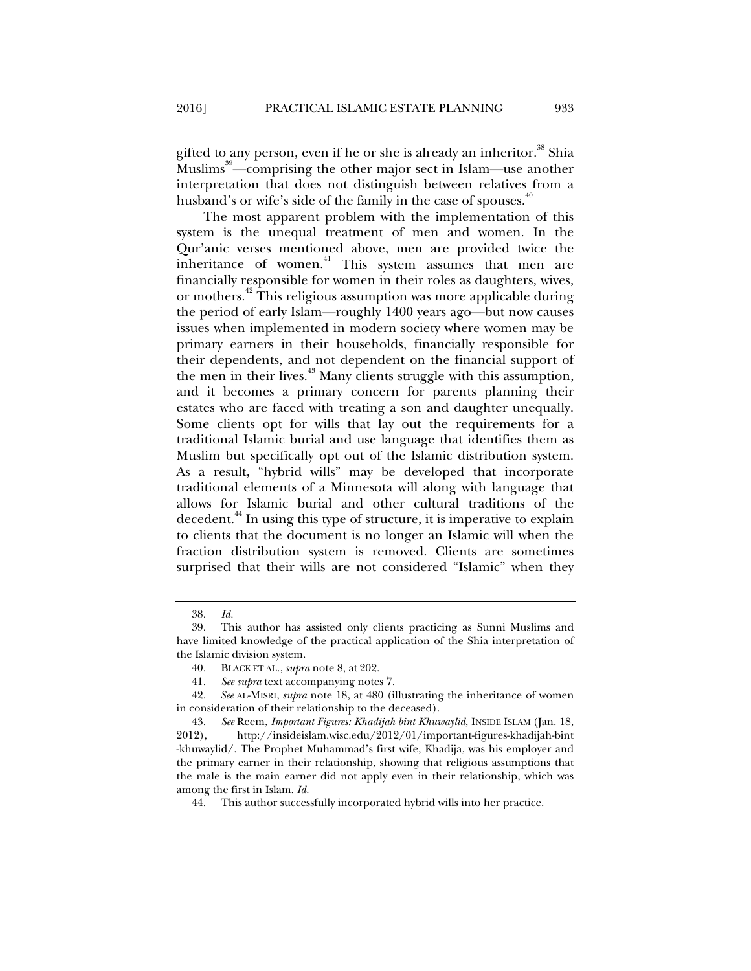gifted to any person, even if he or she is already an inheritor.<sup>38</sup> Shia Muslims<sup>39</sup>—comprising the other major sect in Islam—use another interpretation that does not distinguish between relatives from a husband's or wife's side of the family in the case of spouses. $40$ 

The most apparent problem with the implementation of this system is the unequal treatment of men and women. In the Qur'anic verses mentioned above, men are provided twice the inheritance of women.<sup>41</sup> This system assumes that men are financially responsible for women in their roles as daughters, wives, or mothers.42 This religious assumption was more applicable during the period of early Islam—roughly 1400 years ago—but now causes issues when implemented in modern society where women may be primary earners in their households, financially responsible for their dependents, and not dependent on the financial support of the men in their lives.<sup>43</sup> Many clients struggle with this assumption, and it becomes a primary concern for parents planning their estates who are faced with treating a son and daughter unequally. Some clients opt for wills that lay out the requirements for a traditional Islamic burial and use language that identifies them as Muslim but specifically opt out of the Islamic distribution system. As a result, "hybrid wills" may be developed that incorporate traditional elements of a Minnesota will along with language that allows for Islamic burial and other cultural traditions of the decedent.<sup>44</sup> In using this type of structure, it is imperative to explain to clients that the document is no longer an Islamic will when the fraction distribution system is removed. Clients are sometimes surprised that their wills are not considered "Islamic" when they

 <sup>38.</sup> *Id.* 

 <sup>39.</sup> This author has assisted only clients practicing as Sunni Muslims and have limited knowledge of the practical application of the Shia interpretation of the Islamic division system.

 <sup>40.</sup> BLACK ET AL., *supra* note 8, at 202.

 <sup>41.</sup> *See supra* text accompanying notes 7.

 <sup>42.</sup> *See* AL-MISRI, *supra* note 18, at 480 (illustrating the inheritance of women in consideration of their relationship to the deceased).

 <sup>43.</sup> *See* Reem, *Important Figures: Khadijah bint Khuwaylid*, INSIDE ISLAM (Jan. 18, 2012), http://insideislam.wisc.edu/2012/01/important-figures-khadijah-bint -khuwaylid/. The Prophet Muhammad's first wife, Khadija, was his employer and the primary earner in their relationship, showing that religious assumptions that the male is the main earner did not apply even in their relationship, which was among the first in Islam. *Id.*

 <sup>44.</sup> This author successfully incorporated hybrid wills into her practice.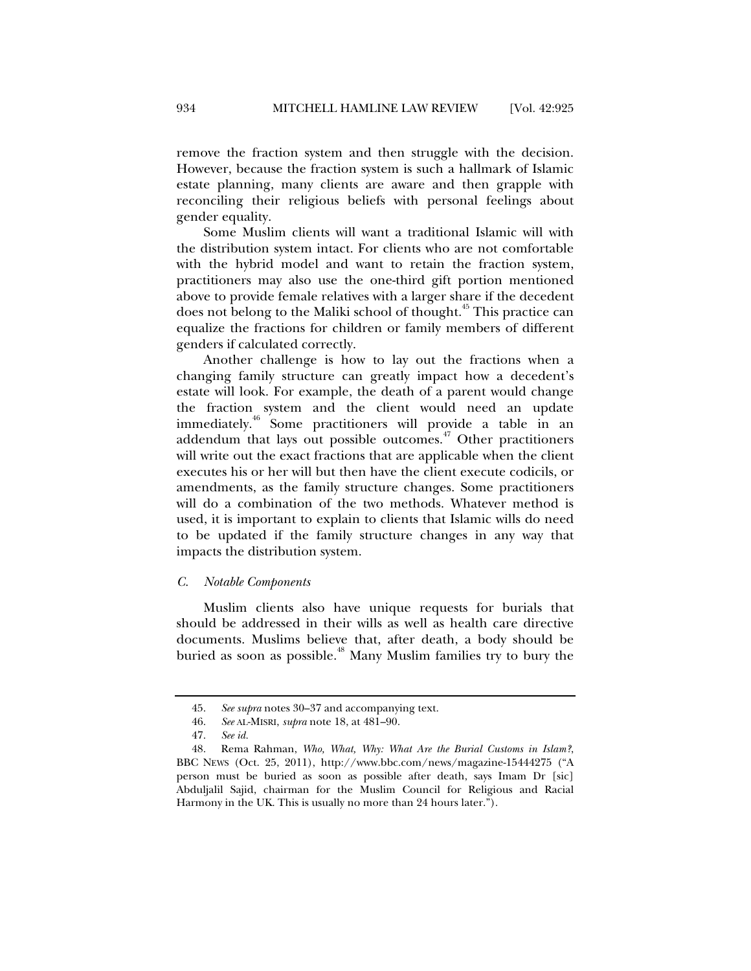remove the fraction system and then struggle with the decision. However, because the fraction system is such a hallmark of Islamic estate planning, many clients are aware and then grapple with reconciling their religious beliefs with personal feelings about gender equality.

Some Muslim clients will want a traditional Islamic will with the distribution system intact. For clients who are not comfortable with the hybrid model and want to retain the fraction system, practitioners may also use the one-third gift portion mentioned above to provide female relatives with a larger share if the decedent does not belong to the Maliki school of thought.<sup>45</sup> This practice can equalize the fractions for children or family members of different genders if calculated correctly.

Another challenge is how to lay out the fractions when a changing family structure can greatly impact how a decedent's estate will look. For example, the death of a parent would change the fraction system and the client would need an update immediately.46 Some practitioners will provide a table in an addendum that lays out possible outcomes. $47$  Other practitioners will write out the exact fractions that are applicable when the client executes his or her will but then have the client execute codicils, or amendments, as the family structure changes. Some practitioners will do a combination of the two methods. Whatever method is used, it is important to explain to clients that Islamic wills do need to be updated if the family structure changes in any way that impacts the distribution system.

#### *C. Notable Components*

Muslim clients also have unique requests for burials that should be addressed in their wills as well as health care directive documents. Muslims believe that, after death, a body should be buried as soon as possible.<sup>48</sup> Many Muslim families try to bury the

 <sup>45.</sup> *See supra* notes 30–37 and accompanying text.

 <sup>46.</sup> *See* AL-MISRI, *supra* note 18, at 481–90.

See id.

 <sup>48.</sup> Rema Rahman, *Who, What, Why: What Are the Burial Customs in Islam?*, BBC NEWS (Oct. 25, 2011), http://www.bbc.com/news/magazine-15444275 ("A person must be buried as soon as possible after death, says Imam Dr [sic] Abduljalil Sajid, chairman for the Muslim Council for Religious and Racial Harmony in the UK. This is usually no more than 24 hours later.").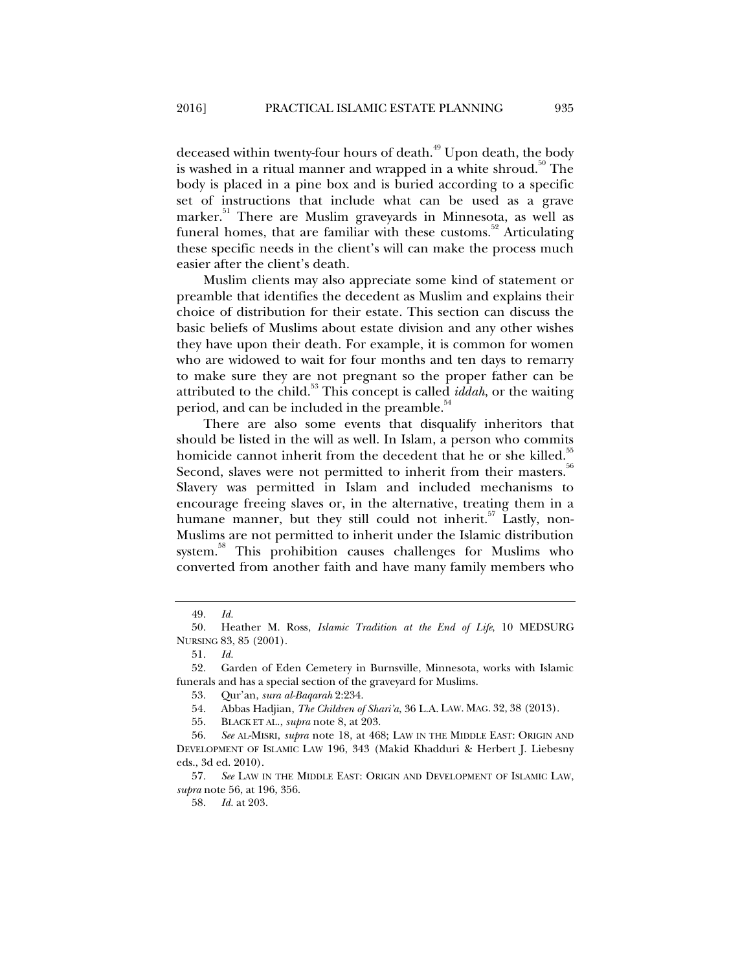deceased within twenty-four hours of death.<sup>49</sup> Upon death, the body is washed in a ritual manner and wrapped in a white shroud.<sup>30</sup> The body is placed in a pine box and is buried according to a specific set of instructions that include what can be used as a grave marker.<sup>51</sup> There are Muslim graveyards in Minnesota, as well as funeral homes, that are familiar with these customs.<sup>52</sup> Articulating these specific needs in the client's will can make the process much easier after the client's death.

Muslim clients may also appreciate some kind of statement or preamble that identifies the decedent as Muslim and explains their choice of distribution for their estate. This section can discuss the basic beliefs of Muslims about estate division and any other wishes they have upon their death. For example, it is common for women who are widowed to wait for four months and ten days to remarry to make sure they are not pregnant so the proper father can be attributed to the child.<sup>53</sup> This concept is called *iddah*, or the waiting period, and can be included in the preamble.<sup>54</sup>

There are also some events that disqualify inheritors that should be listed in the will as well. In Islam, a person who commits homicide cannot inherit from the decedent that he or she killed.<sup>5</sup> Second, slaves were not permitted to inherit from their masters.<sup>56</sup> Slavery was permitted in Islam and included mechanisms to encourage freeing slaves or, in the alternative, treating them in a humane manner, but they still could not inherit.<sup>57</sup> Lastly, non-Muslims are not permitted to inherit under the Islamic distribution system.<sup>58</sup> This prohibition causes challenges for Muslims who converted from another faith and have many family members who

54. Abbas Hadjian, *The Children of Shari'a*, 36 L.A. LAW. MAG. 32, 38 (2013).

 <sup>49.</sup> *Id.* 

 <sup>50.</sup> Heather M. Ross, *Islamic Tradition at the End of Life*, 10 MEDSURG NURSING 83, 85 (2001).

 <sup>51.</sup> *Id.*

 <sup>52.</sup> Garden of Eden Cemetery in Burnsville, Minnesota, works with Islamic funerals and has a special section of the graveyard for Muslims.

 <sup>53.</sup> Qur'an, *sura al-Baqarah* 2:234.

 <sup>55.</sup> BLACK ET AL., *supra* note 8, at 203.

 <sup>56.</sup> *See* AL-MISRI, *supra* note 18, at 468; LAW IN THE MIDDLE EAST: ORIGIN AND DEVELOPMENT OF ISLAMIC LAW 196, 343 (Makid Khadduri & Herbert J. Liebesny eds., 3d ed. 2010).

 <sup>57.</sup> *See* LAW IN THE MIDDLE EAST: ORIGIN AND DEVELOPMENT OF ISLAMIC LAW, *supra* note 56, at 196, 356.

 <sup>58.</sup> *Id.* at 203.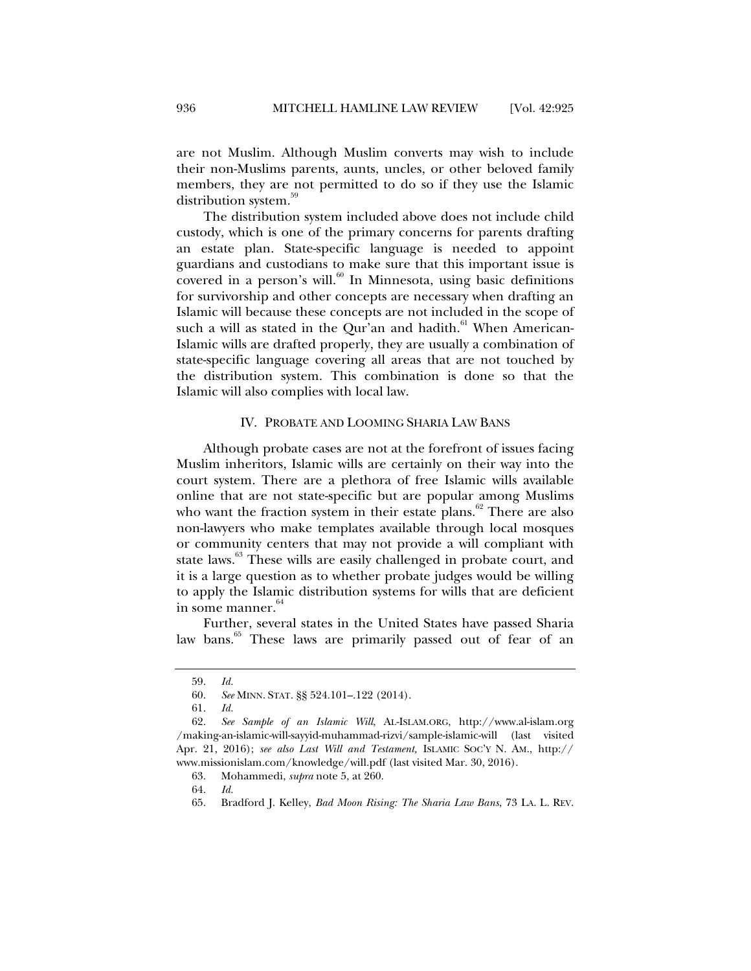are not Muslim. Although Muslim converts may wish to include their non-Muslims parents, aunts, uncles, or other beloved family members, they are not permitted to do so if they use the Islamic distribution system.<sup>59</sup>

The distribution system included above does not include child custody, which is one of the primary concerns for parents drafting an estate plan. State-specific language is needed to appoint guardians and custodians to make sure that this important issue is covered in a person's will. $60$  In Minnesota, using basic definitions for survivorship and other concepts are necessary when drafting an Islamic will because these concepts are not included in the scope of such a will as stated in the Qur'an and hadith. $61$  When American-Islamic wills are drafted properly, they are usually a combination of state-specific language covering all areas that are not touched by the distribution system. This combination is done so that the Islamic will also complies with local law.

#### IV. PROBATE AND LOOMING SHARIA LAW BANS

Although probate cases are not at the forefront of issues facing Muslim inheritors, Islamic wills are certainly on their way into the court system. There are a plethora of free Islamic wills available online that are not state-specific but are popular among Muslims who want the fraction system in their estate plans. $62$  There are also non-lawyers who make templates available through local mosques or community centers that may not provide a will compliant with state laws.<sup>63</sup> These wills are easily challenged in probate court, and it is a large question as to whether probate judges would be willing to apply the Islamic distribution systems for wills that are deficient in some manner.<sup>64</sup>

Further, several states in the United States have passed Sharia law bans.<sup>65</sup> These laws are primarily passed out of fear of an

 <sup>59.</sup> *Id.*

 <sup>60.</sup> *See* MINN. STAT. §§ 524.101–.122 (2014).

 <sup>61.</sup> *Id.* 

 <sup>62.</sup> *See Sample of an Islamic Will*, AL-ISLAM.ORG, http://www.al-islam.org /making-an-islamic-will-sayyid-muhammad-rizvi/sample-islamic-will (last visited Apr. 21, 2016); *see also Last Will and Testament,* ISLAMIC SOC'Y N. AM., http:// www.missionislam.com/knowledge/will.pdf (last visited Mar. 30, 2016).

 <sup>63.</sup> Mohammedi, *supra* note 5, at 260.

 <sup>64.</sup> *Id.*

 <sup>65.</sup> Bradford J. Kelley, *Bad Moon Rising: The Sharia Law Bans*, 73 LA. L. REV.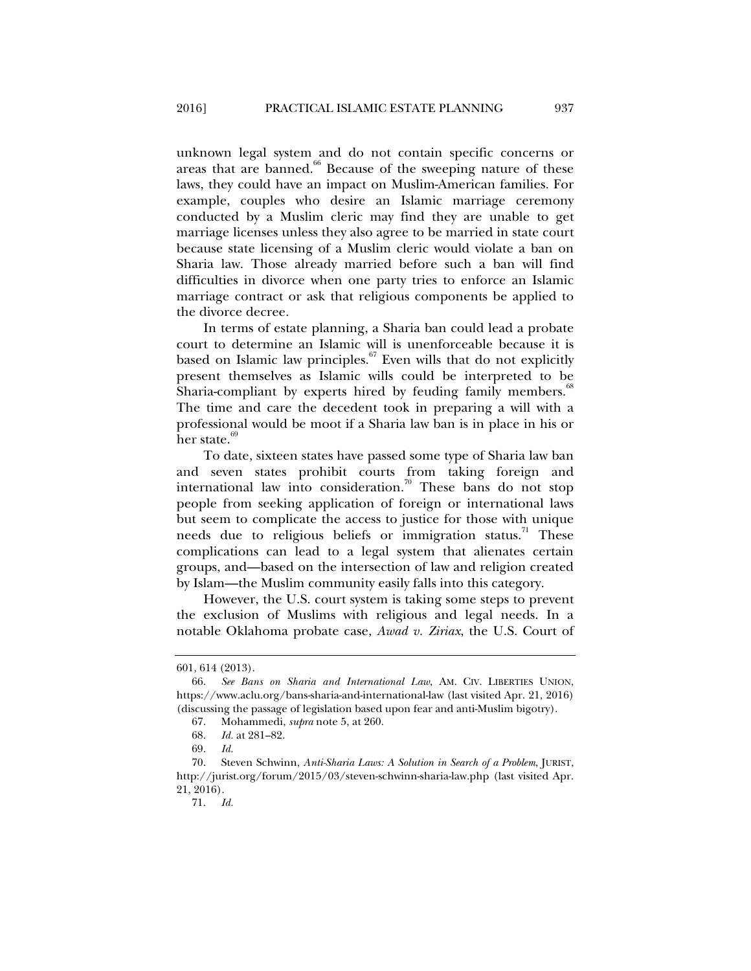unknown legal system and do not contain specific concerns or areas that are banned.<sup>66</sup> Because of the sweeping nature of these laws, they could have an impact on Muslim-American families. For example, couples who desire an Islamic marriage ceremony conducted by a Muslim cleric may find they are unable to get marriage licenses unless they also agree to be married in state court because state licensing of a Muslim cleric would violate a ban on Sharia law. Those already married before such a ban will find difficulties in divorce when one party tries to enforce an Islamic marriage contract or ask that religious components be applied to the divorce decree.

In terms of estate planning, a Sharia ban could lead a probate court to determine an Islamic will is unenforceable because it is based on Islamic law principles.<sup>67</sup> Even wills that do not explicitly present themselves as Islamic wills could be interpreted to be Sharia-compliant by experts hired by feuding family members.<sup>88</sup> The time and care the decedent took in preparing a will with a professional would be moot if a Sharia law ban is in place in his or her state.<sup>6</sup>

To date, sixteen states have passed some type of Sharia law ban and seven states prohibit courts from taking foreign and international law into consideration.<sup>70</sup> These bans do not stop people from seeking application of foreign or international laws but seem to complicate the access to justice for those with unique needs due to religious beliefs or immigration status.<sup>71</sup> These complications can lead to a legal system that alienates certain groups, and—based on the intersection of law and religion created by Islam—the Muslim community easily falls into this category.

However, the U.S. court system is taking some steps to prevent the exclusion of Muslims with religious and legal needs. In a notable Oklahoma probate case, *Awad v. Ziriax*, the U.S. Court of

<sup>601, 614 (2013).</sup> 

 <sup>66.</sup> *See Bans on Sharia and International Law*, AM. CIV. LIBERTIES UNION, https://www.aclu.org/bans-sharia-and-international-law (last visited Apr. 21, 2016) (discussing the passage of legislation based upon fear and anti-Muslim bigotry).

 <sup>67.</sup> Mohammedi, *supra* note 5, at 260.

 <sup>68.</sup> *Id.* at 281–82.

 <sup>69.</sup> *Id.*

 <sup>70.</sup> Steven Schwinn, *Anti-Sharia Laws: A Solution in Search of a Problem*, JURIST, http://jurist.org/forum/2015/03/steven-schwinn-sharia-law.php (last visited Apr. 21, 2016).

 <sup>71.</sup> *Id.*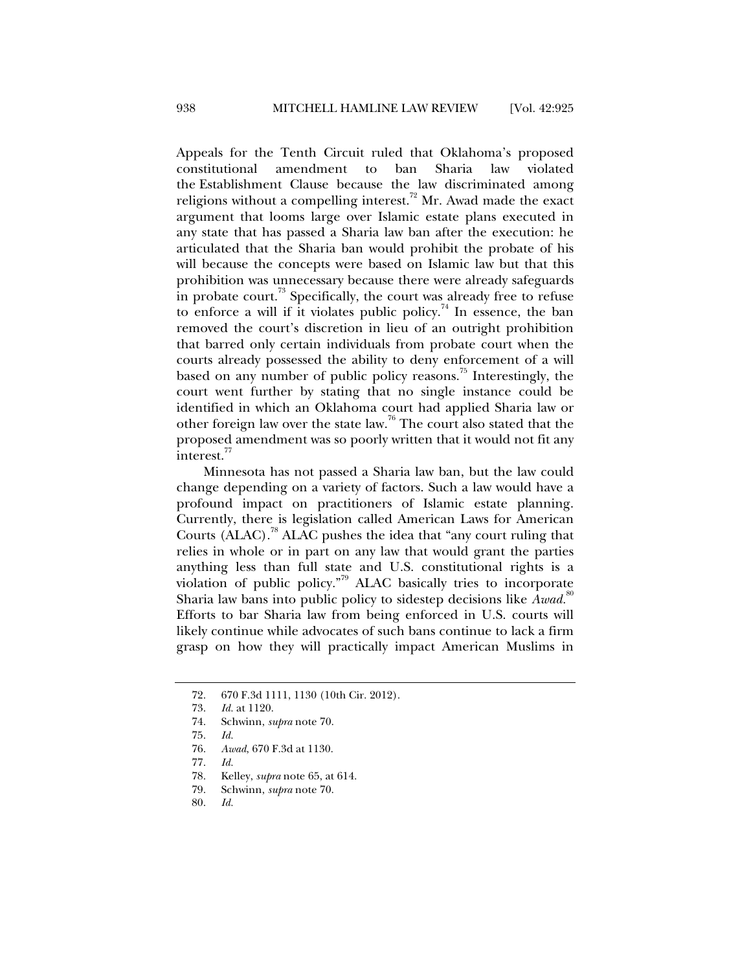Appeals for the Tenth Circuit ruled that Oklahoma's proposed constitutional amendment to ban Sharia law violated the Establishment Clause because the law discriminated among religions without a compelling interest.<sup>72</sup> Mr. Awad made the exact argument that looms large over Islamic estate plans executed in any state that has passed a Sharia law ban after the execution: he articulated that the Sharia ban would prohibit the probate of his will because the concepts were based on Islamic law but that this prohibition was unnecessary because there were already safeguards in probate court.<sup>73</sup> Specifically, the court was already free to refuse to enforce a will if it violates public policy.<sup>74</sup> In essence, the ban removed the court's discretion in lieu of an outright prohibition that barred only certain individuals from probate court when the courts already possessed the ability to deny enforcement of a will based on any number of public policy reasons.<sup>75</sup> Interestingly, the court went further by stating that no single instance could be identified in which an Oklahoma court had applied Sharia law or other foreign law over the state law.<sup>76</sup> The court also stated that the proposed amendment was so poorly written that it would not fit any interest.<sup>77</sup>

Minnesota has not passed a Sharia law ban, but the law could change depending on a variety of factors. Such a law would have a profound impact on practitioners of Islamic estate planning. Currently, there is legislation called American Laws for American Courts  $(ALAC)$ .<sup>78</sup> ALAC pushes the idea that "any court ruling that relies in whole or in part on any law that would grant the parties anything less than full state and U.S. constitutional rights is a violation of public policy."79 ALAC basically tries to incorporate Sharia law bans into public policy to sidestep decisions like *Awad*.<sup>80</sup> Efforts to bar Sharia law from being enforced in U.S. courts will likely continue while advocates of such bans continue to lack a firm grasp on how they will practically impact American Muslims in

 <sup>72. 670</sup> F.3d 1111, 1130 (10th Cir. 2012).

 <sup>73.</sup> *Id.* at 1120.

 <sup>74.</sup> Schwinn, *supra* note 70.

 <sup>75.</sup> *Id.* 

 <sup>76.</sup> *Awad*, 670 F.3d at 1130.

 <sup>77.</sup> *Id.* 

 <sup>78.</sup> Kelley, *supra* note 65, at 614.

 <sup>79.</sup> Schwinn, *supra* note 70.

 <sup>80.</sup> *Id.*